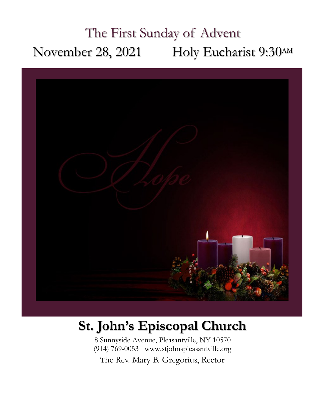# The First Sunday of Advent November 28, 2021 Holy Eucharist 9:30AM



# **St. John's Episcopal Church**

8 Sunnyside Avenue, Pleasantville, NY 10570 (914) 769-0053 www.stjohnspleasantville.org

The Rev. Mary B. Gregorius, Rector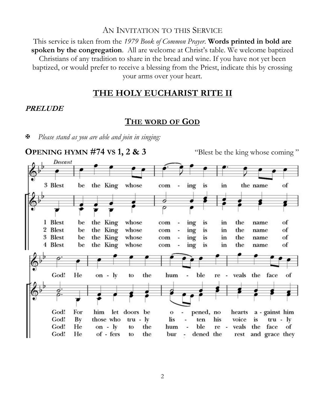#### AN INVITATION TO THIS SERVICE

This service is taken from the *1979 Book of Common Prayer*. **Words printed in bold are spoken by the congregation**. All are welcome at Christ's table. We welcome baptized Christians of any tradition to share in the bread and wine. If you have not yet been baptized, or would prefer to receive a blessing from the Priest, indicate this by crossing your arms over your heart.

### **THE HOLY EUCHARIST RITE II**

#### **PRELUDE**

### **THE WORD OF GOD**

*Please stand as you are able and join in singing:*

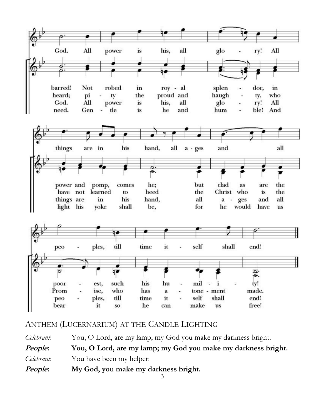

ANTHEM (LUCERNARIUM) AT THE CANDLE LIGHTING

*Celebrant*: You, O Lord, are my lamp; my God you make my darkness bright. **People: You, O Lord, are my lamp; my God you make my darkness bright.** *Celebrant*: You have been my helper: **People: My God, you make my darkness bright.**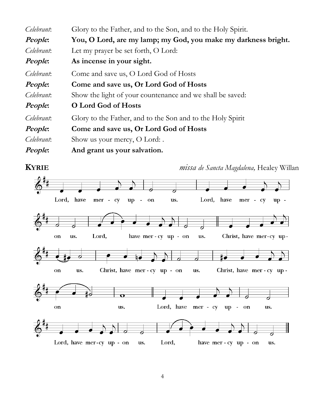| Celebrant: | Glory to the Father, and to the Son, and to the Holy Spirit.   |
|------------|----------------------------------------------------------------|
| People:    | You, O Lord, are my lamp; my God, you make my darkness bright. |
| Celebrant: | Let my prayer be set forth, O Lord:                            |
| People:    | As incense in your sight.                                      |
| Celebrant: | Come and save us, O Lord God of Hosts                          |
| People:    | Come and save us, Or Lord God of Hosts                         |
| Celebrant: | Show the light of your countenance and we shall be saved:      |
| People:    | O Lord God of Hosts                                            |
| Celebrant: | Glory to the Father, and to the Son and to the Holy Spirit     |
| People:    | Come and save us, Or Lord God of Hosts                         |
| Celebrant: | Show us your mercy, O Lord: .                                  |
| People:    | And grant us your salvation.                                   |



**KYRIE** *missa de Sancta Magdalena,* Healey Willan

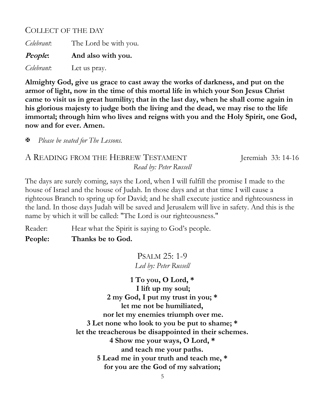## COLLECT OF THE DAY

*Celebrant*: The Lord be with you. **People: And also with you.** *Celebrant*: Let us pray.

**Almighty God, give us grace to cast away the works of darkness, and put on the armor of light, now in the time of this mortal life in which your Son Jesus Christ came to visit us in great humility; that in the last day, when he shall come again in his glorious majesty to judge both the living and the dead, we may rise to the life immortal; through him who lives and reigns with you and the Holy Spirit, one God, now and for ever. Amen.** 

*Please be seated for The Lessons.*

## A READING FROM THE HEBREW TESTAMENT Jeremiah 33: 14-16 *Read by: Peter Russell*

The days are surely coming, says the Lord, when I will fulfill the promise I made to the house of Israel and the house of Judah. In those days and at that time I will cause a righteous Branch to spring up for David; and he shall execute justice and righteousness in the land. In those days Judah will be saved and Jerusalem will live in safety. And this is the name by which it will be called: "The Lord is our righteousness."

Reader: Hear what the Spirit is saying to God's people.

**People: Thanks be to God.**

PSALM 25: 1-9 *Led by: Peter Russell*

**1 To you, O Lord, \* I lift up my soul; 2 my God, I put my trust in you; \* let me not be humiliated, nor let my enemies triumph over me. 3 Let none who look to you be put to shame; \* let the treacherous be disappointed in their schemes. 4 Show me your ways, O Lord, \* and teach me your paths. 5 Lead me in your truth and teach me, \* for you are the God of my salvation;**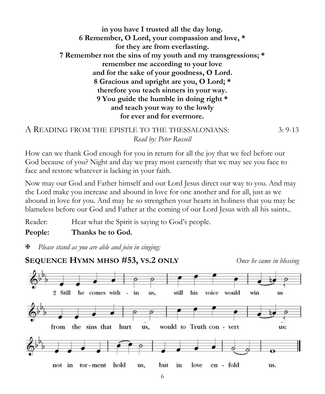**in you have I trusted all the day long. 6 Remember, O Lord, your compassion and love, \* for they are from everlasting. 7 Remember not the sins of my youth and my transgressions; \* remember me according to your love and for the sake of your goodness, O Lord. 8 Gracious and upright are you, O Lord; \* therefore you teach sinners in your way. 9 You guide the humble in doing right \* and teach your way to the lowly for ever and for evermore.** 

```
A READING FROM THE EPISTLE TO THE THESSALONIANS: 3: 9-13
             Read by: Peter Russell
```
How can we thank God enough for you in return for all the joy that we feel before our God because of you? Night and day we pray most earnestly that we may see you face to face and restore whatever is lacking in your faith.

Now may our God and Father himself and our Lord Jesus direct our way to you. And may the Lord make you increase and abound in love for one another and for all, just as we abound in love for you. And may he so strengthen your hearts in holiness that you may be blameless before our God and Father at the coming of our Lord Jesus with all his saints..

Reader: Hear what the Spirit is saying to God's people.

**People: Thanks be to God.**

*Please stand as you are able and join in singing:*

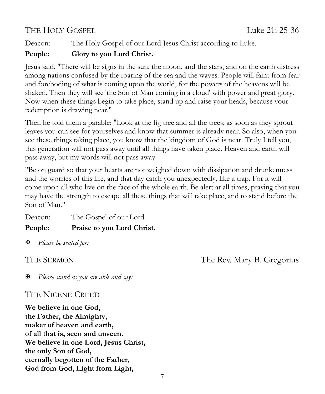# THE HOLY GOSPEL THE HOLY COSPEL

Deacon: The Holy Gospel of our Lord Jesus Christ according to Luke.

## **People: Glory to you Lord Christ.**

Jesus said, "There will be signs in the sun, the moon, and the stars, and on the earth distress among nations confused by the roaring of the sea and the waves. People will faint from fear and foreboding of what is coming upon the world, for the powers of the heavens will be shaken. Then they will see 'the Son of Man coming in a cloud' with power and great glory. Now when these things begin to take place, stand up and raise your heads, because your redemption is drawing near."

Then he told them a parable: "Look at the fig tree and all the trees; as soon as they sprout leaves you can see for yourselves and know that summer is already near. So also, when you see these things taking place, you know that the kingdom of God is near. Truly I tell you, this generation will not pass away until all things have taken place. Heaven and earth will pass away, but my words will not pass away.

"Be on guard so that your hearts are not weighed down with dissipation and drunkenness and the worries of this life, and that day catch you unexpectedly, like a trap. For it will come upon all who live on the face of the whole earth. Be alert at all times, praying that you may have the strength to escape all these things that will take place, and to stand before the Son of Man."

Deacon: The Gospel of our Lord.

**People: Praise to you Lord Christ.**

*Please be seated for:*

THE SERMON The Rev. Mary B. Gregorius

*Please stand as you are able and say:*

# THE NICENE CREED

**We believe in one God, the Father, the Almighty, maker of heaven and earth, of all that is, seen and unseen. We believe in one Lord, Jesus Christ, the only Son of God, eternally begotten of the Father, God from God, Light from Light,**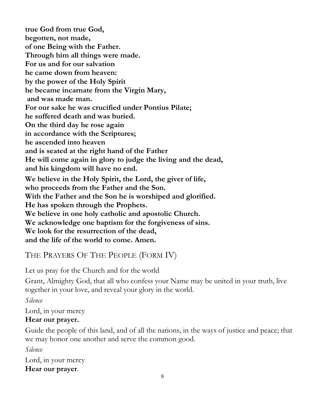**true God from true God, begotten, not made, of one Being with the Father. Through him all things were made. For us and for our salvation he came down from heaven: by the power of the Holy Spirit he became incarnate from the Virgin Mary, and was made man. For our sake he was crucified under Pontius Pilate; he suffered death and was buried. On the third day he rose again in accordance with the Scriptures; he ascended into heaven and is seated at the right hand of the Father He will come again in glory to judge the living and the dead, and his kingdom will have no end. We believe in the Holy Spirit, the Lord, the giver of life, who proceeds from the Father and the Son. With the Father and the Son he is worshiped and glorified. He has spoken through the Prophets. We believe in one holy catholic and apostolic Church. We acknowledge one baptism for the forgiveness of sins. We look for the resurrection of the dead, and the life of the world to come. Amen.**

# THE PRAYERS OF THE PEOPLE (FORM IV)

Let us pray for the Church and for the world

Grant, Almighty God, that all who confess your Name may be united in your truth, live together in your love, and reveal your glory in the world.

*Silence*

Lord, in your mercy

## **Hear our prayer.**

Guide the people of this land, and of all the nations, in the ways of justice and peace; that we may honor one another and serve the common good.

*Silence*

Lord, in your mercy **Hear our prayer**.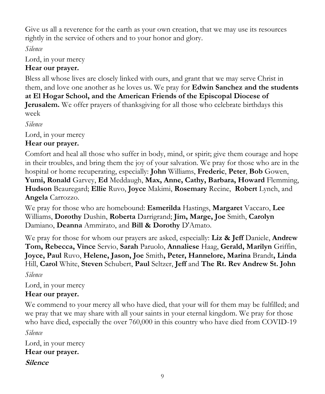Give us all a reverence for the earth as your own creation, that we may use its resources rightly in the service of others and to your honor and glory.

*Silence*

Lord, in your mercy

## **Hear our prayer.**

Bless all whose lives are closely linked with ours, and grant that we may serve Christ in them, and love one another as he loves us. We pray for **Edwin Sanchez and the students at El Hogar School, and the American Friends of the Episcopal Diocese of Jerusalem.** We offer prayers of thanksgiving for all those who celebrate birthdays this week

*Silence*

Lord, in your mercy

## **Hear our prayer.**

Comfort and heal all those who suffer in body, mind, or spirit; give them courage and hope in their troubles, and bring them the joy of your salvation. We pray for those who are in the hospital or home recuperating, especially: **John** Williams, **Frederic**, **Peter**, **Bob** Gowen, **Yumi, Ronald** Garvey, **Ed** Meddaugh, **Max, Anne, Cathy, Barbara, Howard** Flemming, **Hudson** Beauregard; **Ellie** Ruvo, **Joyce** Makimi, **Rosemary** Recine, **Robert** Lynch, and **Angela** Carrozzo.

We pray for those who are homebound: **Esmerilda** Hastings, **Margaret** Vaccaro, **Lee**  Williams, **Dorothy** Dushin, **Roberta** Darrigrand; **Jim, Marge, Joe** Smith, **Carolyn** Damiano, **Deanna** Ammirato, and **Bill & Dorothy** D'Amato.

We pray for those for whom our prayers are asked, especially: **Liz & Jeff** Daniele, **Andrew Tom, Rebecca, Vince** Servio, **Sarah** Paruolo, **Annaliese** Haag, **Gerald, Marilyn** Griffin, **Joyce, Paul** Ruvo, **Helene, Jason, Joe** Smith**, Peter, Hannelore, Marina** Brandt**, Linda**  Hill, **Carol** White, **Steven** Schubert, **Paul** Seltzer, **Jeff** and **The Rt. Rev Andrew St. John** 

*Silence*

Lord, in your mercy **Hear our prayer.** 

We commend to your mercy all who have died, that your will for them may be fulfilled; and we pray that we may share with all your saints in your eternal kingdom. We pray for those who have died, especially the over 760,000 in this country who have died from COVID-19

*Silence*

Lord, in your mercy **Hear our prayer. Silence**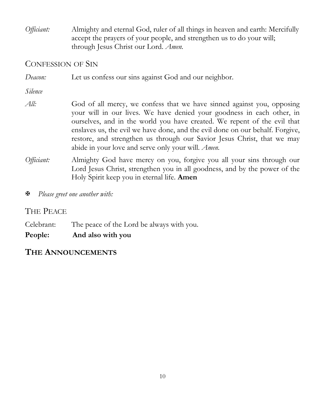*Officiant:* Almighty and eternal God, ruler of all things in heaven and earth: Mercifully accept the prayers of your people, and strengthen us to do your will; through Jesus Christ our Lord. *Amen.*

## CONFESSION OF SIN

| Deacon:    | Let us confess our sins against God and our neighbor.                                                                                                                                                                                                                                                                                                                                                                                                  |
|------------|--------------------------------------------------------------------------------------------------------------------------------------------------------------------------------------------------------------------------------------------------------------------------------------------------------------------------------------------------------------------------------------------------------------------------------------------------------|
| Silence    |                                                                                                                                                                                                                                                                                                                                                                                                                                                        |
| All:       | God of all mercy, we confess that we have sinned against you, opposing<br>your will in our lives. We have denied your goodness in each other, in<br>ourselves, and in the world you have created. We repent of the evil that<br>enslaves us, the evil we have done, and the evil done on our behalf. Forgive,<br>restore, and strengthen us through our Savior Jesus Christ, that we may<br>abide in your love and serve only your will. <i>Amen</i> . |
| Officiant: | Almighty God have mercy on you, forgive you all your sins through our<br>Lord Jesus Christ, strengthen you in all goodness, and by the power of the<br>Holy Spirit keep you in eternal life. Amen                                                                                                                                                                                                                                                      |

*Please greet one another with:*

## THE PEACE

Celebrant: The peace of the Lord be always with you.

**People: And also with you**

## **THE ANNOUNCEMENTS**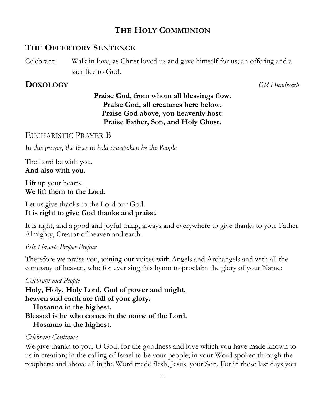# **THE HOLY COMMUNION**

# **THE OFFERTORY SENTENCE**

Celebrant: Walk in love, as Christ loved us and gave himself for us; an offering and a sacrifice to God.

# **DOXOLOGY** *Old Hundredth*

# **Praise God, from whom all blessings flow. Praise God, all creatures here below. Praise God above, you heavenly host: Praise Father, Son, and Holy Ghost.**

EUCHARISTIC PRAYER B

*In this prayer, the lines in bold are spoken by the People*

The Lord be with you. **And also with you.**

Lift up your hearts. **We lift them to the Lord.**

Let us give thanks to the Lord our God. **It is right to give God thanks and praise.**

It is right, and a good and joyful thing, always and everywhere to give thanks to you, Father Almighty, Creator of heaven and earth.

## *Priest inserts Proper Preface*

Therefore we praise you, joining our voices with Angels and Archangels and with all the company of heaven, who for ever sing this hymn to proclaim the glory of your Name:

### *Celebrant and People*

**Holy, Holy, Holy Lord, God of power and might, heaven and earth are full of your glory. Hosanna in the highest. Blessed is he who comes in the name of the Lord. Hosanna in the highest.**

### *Celebrant Continues*

We give thanks to you, O God, for the goodness and love which you have made known to us in creation; in the calling of Israel to be your people; in your Word spoken through the prophets; and above all in the Word made flesh, Jesus, your Son. For in these last days you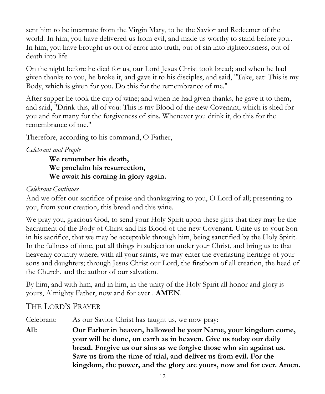sent him to be incarnate from the Virgin Mary, to be the Savior and Redeemer of the world. In him, you have delivered us from evil, and made us worthy to stand before you.. In him, you have brought us out of error into truth, out of sin into righteousness, out of death into life

On the night before he died for us, our Lord Jesus Christ took bread; and when he had given thanks to you, he broke it, and gave it to his disciples, and said, "Take, eat: This is my Body, which is given for you. Do this for the remembrance of me."

After supper he took the cup of wine; and when he had given thanks, he gave it to them, and said, "Drink this, all of you: This is my Blood of the new Covenant, which is shed for you and for many for the forgiveness of sins. Whenever you drink it, do this for the remembrance of me."

Therefore, according to his command, O Father,

### *Celebrant and People*

**We remember his death, We proclaim his resurrection, We await his coming in glory again.** 

#### *Celebrant Continues*

And we offer our sacrifice of praise and thanksgiving to you, O Lord of all; presenting to you, from your creation, this bread and this wine.

We pray you, gracious God, to send your Holy Spirit upon these gifts that they may be the Sacrament of the Body of Christ and his Blood of the new Covenant. Unite us to your Son in his sacrifice, that we may be acceptable through him, being sanctified by the Holy Spirit. In the fullness of time, put all things in subjection under your Christ, and bring us to that heavenly country where, with all your saints, we may enter the everlasting heritage of your sons and daughters; through Jesus Christ our Lord, the firstborn of all creation, the head of the Church, and the author of our salvation.

By him, and with him, and in him, in the unity of the Holy Spirit all honor and glory is yours, Almighty Father, now and for ever . **AMEN**.

## THE LORD'S PRAYER

Celebrant: As our Savior Christ has taught us, we now pray:

**All: Our Father in heaven, hallowed be your Name, your kingdom come, your will be done, on earth as in heaven. Give us today our daily bread. Forgive us our sins as we forgive those who sin against us. Save us from the time of trial, and deliver us from evil. For the kingdom, the power, and the glory are yours, now and for ever. Amen.**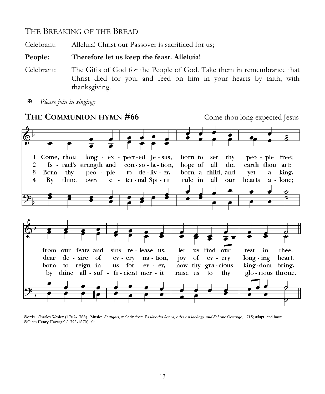### THE BREAKING OF THE BREAD

Celebrant: Alleluia! Christ our Passover is sacrificed for us;

#### **People: Therefore let us keep the feast. Alleluia!**

- Celebrant: The Gifts of God for the People of God. Take them in remembrance that Christ died for you, and feed on him in your hearts by faith, with thanksgiving.
- *Please join in singing:*



Words: Charles Wesley (1707-1788) Music: Stuttgart, melody from Psalmodia Sacra, oder Andächtige und Schöne Gesange, 1715; adapt. and harm. William Henry Havergal (1793-1870), alt.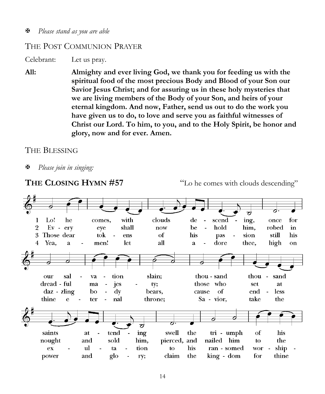#### *Please stand as you are able*

#### THE POST COMMUNION PRAYER

Celebrant: Let us pray.

**All: Almighty and ever living God, we thank you for feeding us with the spiritual food of the most precious Body and Blood of your Son our Savior Jesus Christ; and for assuring us in these holy mysteries that we are living members of the Body of your Son, and heirs of your eternal kingdom. And now, Father, send us out to do the work you have given us to do, to love and serve you as faithful witnesses of Christ our Lord. To him, to you, and to the Holy Spirit, be honor and glory, now and for ever. Amen.**

#### THE BLESSING

*Please join in singing:*

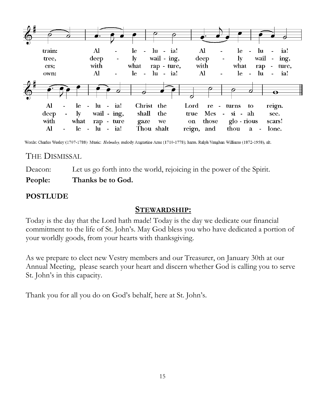

Words: Charles Wesley (1707-1788) Music: Helmsley, melody Augustine Arne (1710-1778); harm. Ralph Vaughan Williams (1872-1958), alt.

## THE DISMISSAL

Deacon: Let us go forth into the world, rejoicing in the power of the Spirit. **People: Thanks be to God.**

#### **POSTLUDE**

#### **STEWARDSHIP:**

Today is the day that the Lord hath made! Today is the day we dedicate our financial commitment to the life of St. John's. May God bless you who have dedicated a portion of your worldly goods, from your hearts with thanksgiving.

As we prepare to elect new Vestry members and our Treasurer, on January 30th at our Annual Meeting, please search your heart and discern whether God is calling you to serve St. John's in this capacity.

Thank you for all you do on God's behalf, here at St. John's.